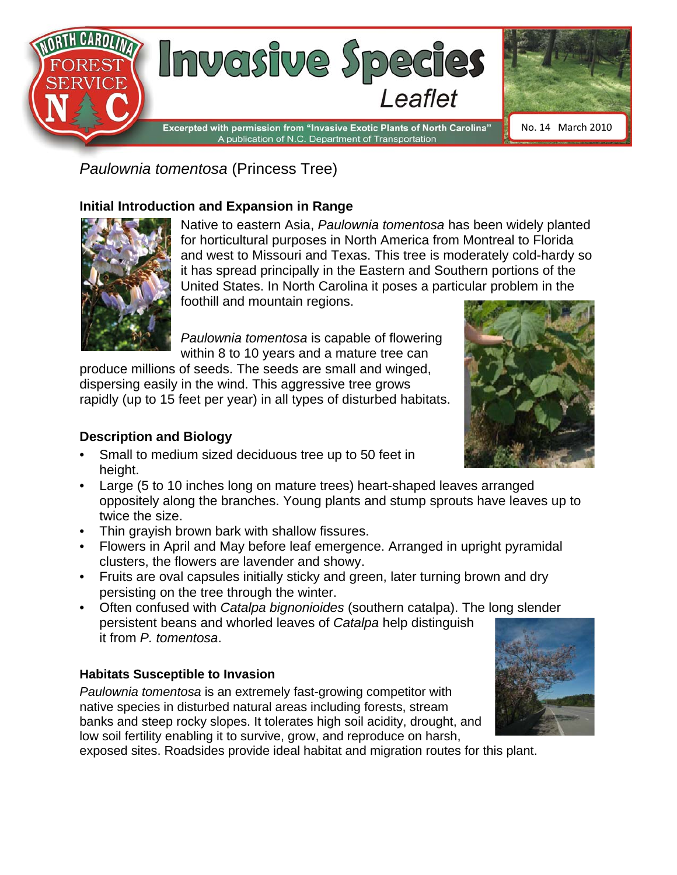

*Paulownia tomentosa* (Princess Tree)

## **Initial Introduction and Expansion in Range**



Native to eastern Asia, *Paulownia tomentosa* has been widely planted for horticultural purposes in North America from Montreal to Florida and west to Missouri and Texas. This tree is moderately cold-hardy so it has spread principally in the Eastern and Southern portions of the United States. In North Carolina it poses a particular problem in the foothill and mountain regions.

*Paulownia tomentosa* is capable of flowering within 8 to 10 years and a mature tree can

produce millions of seeds. The seeds are small and winged, dispersing easily in the wind. This aggressive tree grows rapidly (up to 15 feet per year) in all types of disturbed habitats.

# **Description and Biology**

- Small to medium sized deciduous tree up to 50 feet in height.
- Large (5 to 10 inches long on mature trees) heart-shaped leaves arranged oppositely along the branches. Young plants and stump sprouts have leaves up to twice the size.
- Thin grayish brown bark with shallow fissures.
- Flowers in April and May before leaf emergence. Arranged in upright pyramidal clusters, the flowers are lavender and showy.
- Fruits are oval capsules initially sticky and green, later turning brown and dry persisting on the tree through the winter.
- Often confused with *Catalpa bignonioides* (southern catalpa). The long slender persistent beans and whorled leaves of *Catalpa* help distinguish it from *P. tomentosa*.

# **Habitats Susceptible to Invasion**

*Paulownia tomentosa* is an extremely fast-growing competitor with native species in disturbed natural areas including forests, stream banks and steep rocky slopes. It tolerates high soil acidity, drought, and low soil fertility enabling it to survive, grow, and reproduce on harsh,

exposed sites. Roadsides provide ideal habitat and migration routes for this plant.